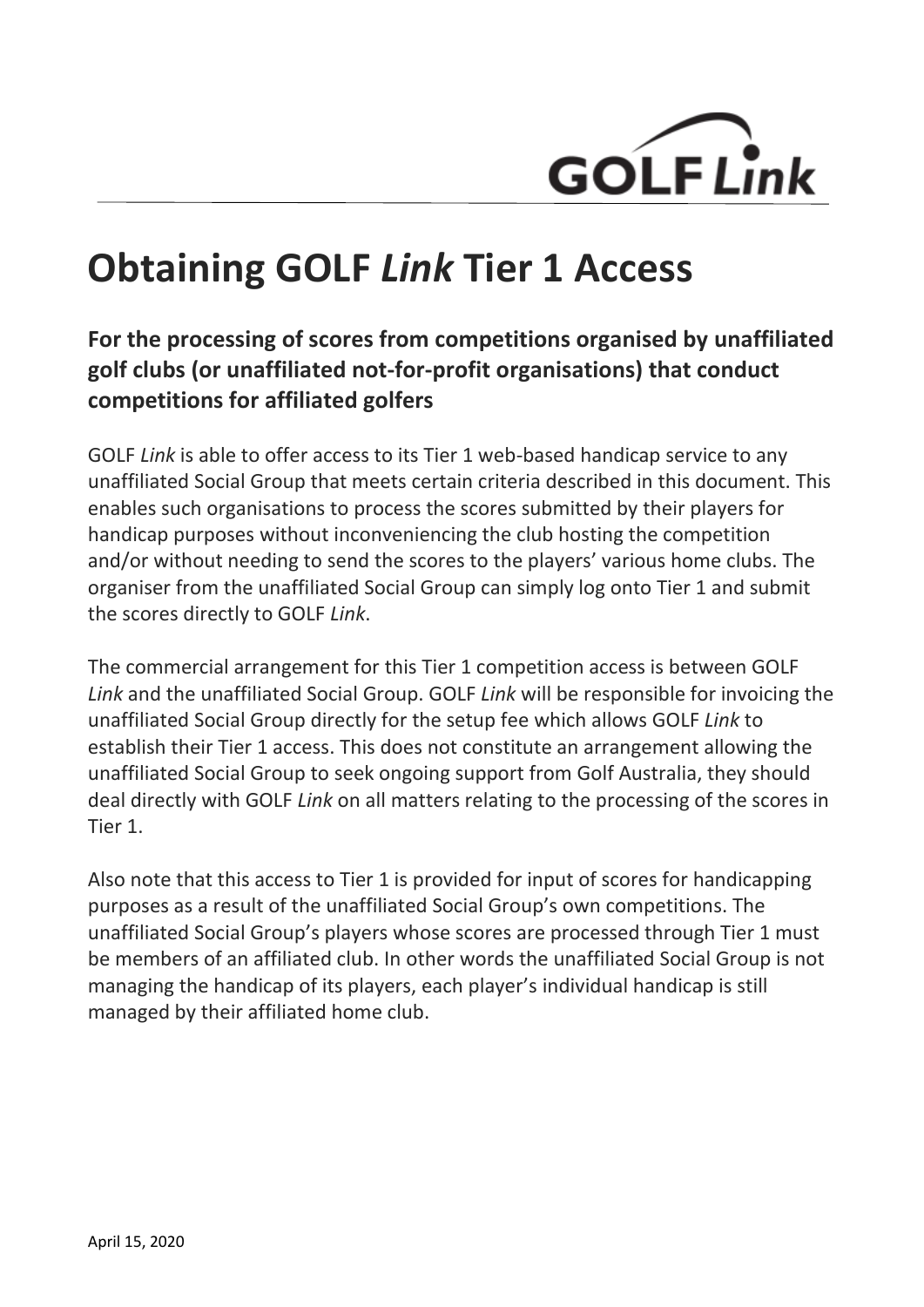

# **Obtaining GOLF** *Link* **Tier 1 Access**

## **For the processing of scores from competitions organised by unaffiliated golf clubs (or unaffiliated not-for-profit organisations) that conduct competitions for affiliated golfers**

GOLF *Link* is able to offer access to its Tier 1 web-based handicap service to any unaffiliated Social Group that meets certain criteria described in this document. This enables such organisations to process the scores submitted by their players for handicap purposes without inconveniencing the club hosting the competition and/or without needing to send the scores to the players' various home clubs. The organiser from the unaffiliated Social Group can simply log onto Tier 1 and submit the scores directly to GOLF *Link*.

The commercial arrangement for this Tier 1 competition access is between GOLF *Link* and the unaffiliated Social Group. GOLF *Link* will be responsible for invoicing the unaffiliated Social Group directly for the setup fee which allows GOLF *Link* to establish their Tier 1 access. This does not constitute an arrangement allowing the unaffiliated Social Group to seek ongoing support from Golf Australia, they should deal directly with GOLF *Link* on all matters relating to the processing of the scores in Tier 1.

Also note that this access to Tier 1 is provided for input of scores for handicapping purposes as a result of the unaffiliated Social Group's own competitions. The unaffiliated Social Group's players whose scores are processed through Tier 1 must be members of an affiliated club. In other words the unaffiliated Social Group is not managing the handicap of its players, each player's individual handicap is still managed by their affiliated home club.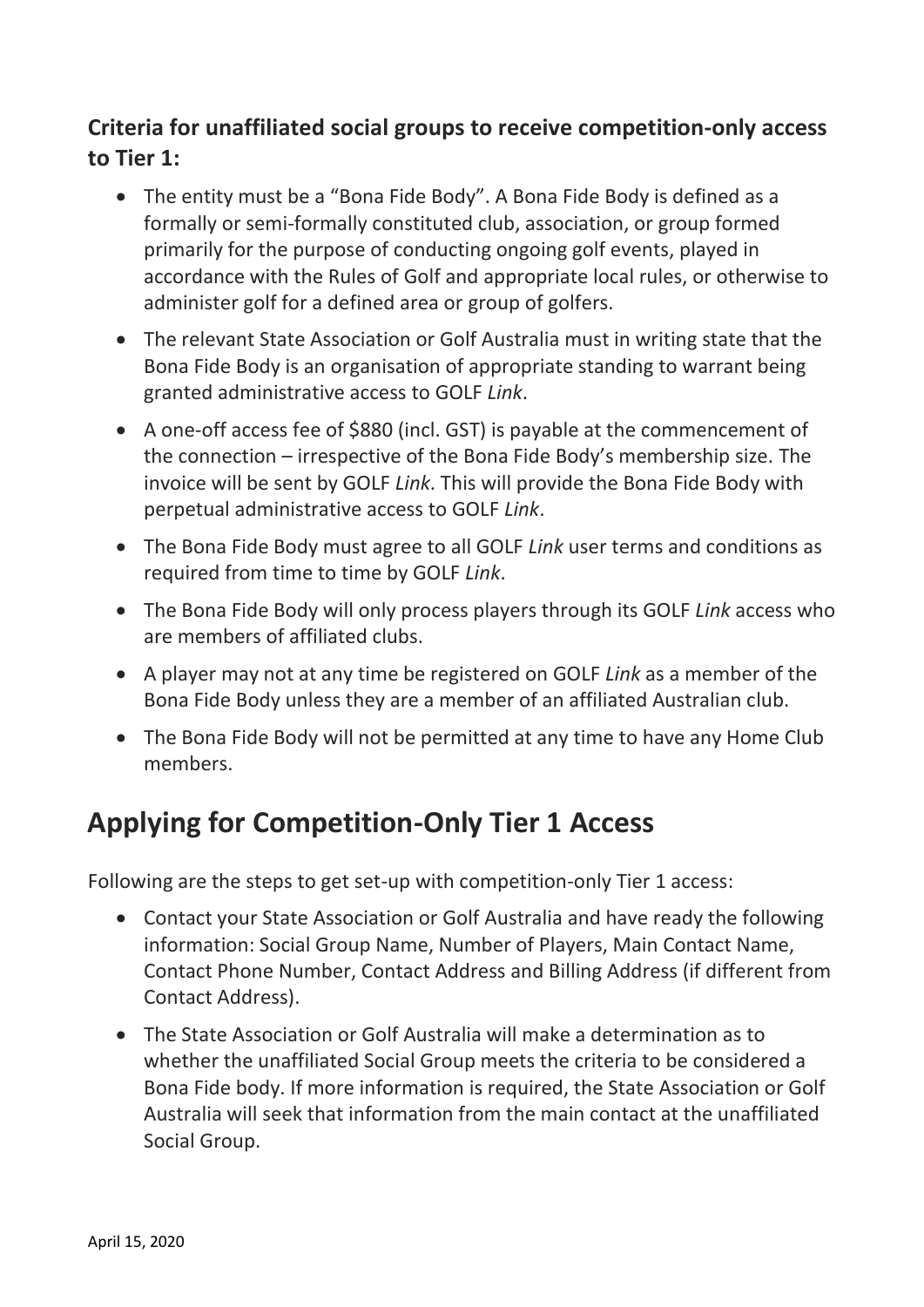### **Criteria for unaffiliated social groups to receive competition-only access to Tier 1:**

- The entity must be a "Bona Fide Body". A Bona Fide Body is defined as a formally or semi-formally constituted club, association, or group formed primarily for the purpose of conducting ongoing golf events, played in accordance with the Rules of Golf and appropriate local rules, or otherwise to administer golf for a defined area or group of golfers.
- The relevant State Association or Golf Australia must in writing state that the Bona Fide Body is an organisation of appropriate standing to warrant being granted administrative access to GOLF *Link*.
- A one-off access fee of \$880 (incl. GST) is payable at the commencement of the connection – irrespective of the Bona Fide Body's membership size. The invoice will be sent by GOLF *Link*. This will provide the Bona Fide Body with perpetual administrative access to GOLF *Link*.
- The Bona Fide Body must agree to all GOLF *Link* user terms and conditions as required from time to time by GOLF *Link*.
- The Bona Fide Body will only process players through its GOLF *Link* access who are members of affiliated clubs.
- A player may not at any time be registered on GOLF *Link* as a member of the Bona Fide Body unless they are a member of an affiliated Australian club.
- The Bona Fide Body will not be permitted at any time to have any Home Club members.

# **Applying for Competition-Only Tier 1 Access**

Following are the steps to get set-up with competition-only Tier 1 access:

- Contact your State Association or Golf Australia and have ready the following information: Social Group Name, Number of Players, Main Contact Name, Contact Phone Number, Contact Address and Billing Address (if different from Contact Address).
- The State Association or Golf Australia will make a determination as to whether the unaffiliated Social Group meets the criteria to be considered a Bona Fide body. If more information is required, the State Association or Golf Australia will seek that information from the main contact at the unaffiliated Social Group.